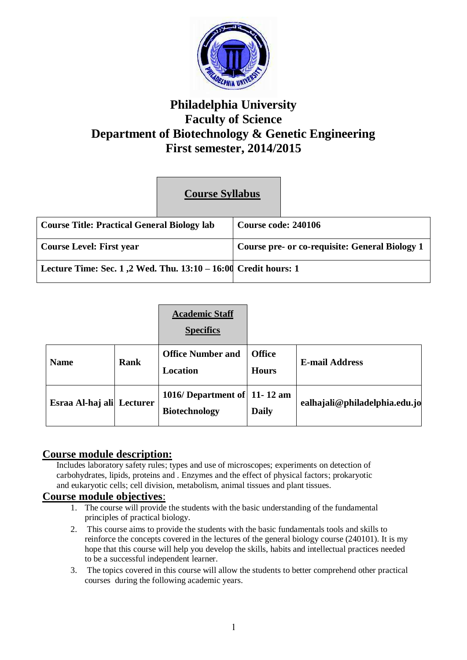

# **Philadelphia University Faculty of Science Department of Biotechnology & Genetic Engineering First semester, 2014/2015**

# **Course Syllabus**

| Course Title: Practical General Biology lab                    |  | Course code: 240106                            |  |  |
|----------------------------------------------------------------|--|------------------------------------------------|--|--|
| Course Level: First year                                       |  | Course pre- or co-requisite: General Biology 1 |  |  |
| Lecture Time: Sec. 1,2 Wed. Thu. 13:10 – 16:00 Credit hours: 1 |  |                                                |  |  |

|                  |          | <b>Academic Staff</b><br><b>Specifics</b>               |                               |                               |
|------------------|----------|---------------------------------------------------------|-------------------------------|-------------------------------|
| <b>Name</b>      | Rank     | <b>Office Number and</b><br>Location                    | <b>Office</b><br><b>Hours</b> | <b>E-mail Address</b>         |
| Esraa Al-haj ali | Lecturer | 1016/ Department of $ 11-12$ am<br><b>Biotechnology</b> | <b>Daily</b>                  | ealhajali@philadelphia.edu.jo |

# **Course module description:**

Includes laboratory safety rules; types and use of microscopes; experiments on detection of carbohydrates, lipids, proteins and . Enzymes and the effect of physical factors; prokaryotic and eukaryotic cells; cell division, metabolism, animal tissues and plant tissues.

# **Course module objectives**:

- 1. The course will provide the students with the basic understanding of the fundamental principles of practical biology.
- 2. This course aims to provide the students with the basic fundamentals tools and skills to reinforce the concepts covered in the lectures of the general biology course (240101). It is my hope that this course will help you develop the skills, habits and intellectual practices needed to be a successful independent learner.
- 3. The topics covered in this course will allow the students to better comprehend other practical courses during the following academic years.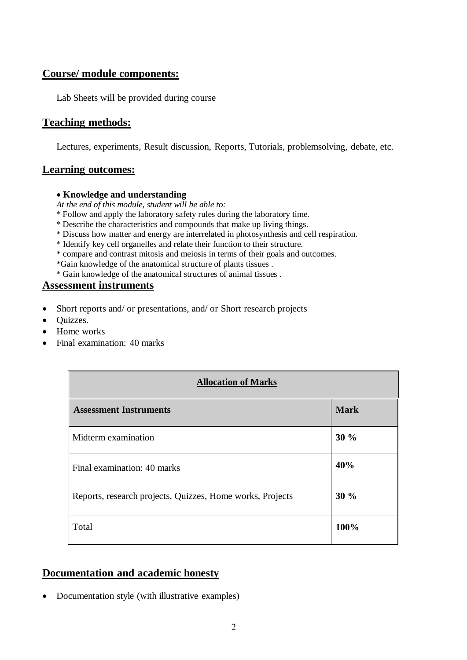# **Course/ module components:**

Lab Sheets will be provided during course

# **Teaching methods:**

Lectures, experiments, Result discussion, Reports, Tutorials, problemsolving, debate, etc.

# **Learning outcomes:**

#### **Knowledge and understanding**

*At the end of this module, student will be able to:*

- \* Follow and apply the laboratory safety rules during the laboratory time.
- \* Describe the characteristics and compounds that make up living things.
- \* Discuss how matter and energy are interrelated in photosynthesis and cell respiration.
- \* Identify key cell organelles and relate their function to their structure.
- \* compare and contrast mitosis and meiosis in terms of their goals and outcomes.

\*Gain knowledge of the anatomical structure of plants tissues .

\* Gain knowledge of the anatomical structures of animal tissues .

## **Assessment instruments**

- Short reports and/ or presentations, and/ or Short research projects
- Quizzes.
- Home works
- Final examination: 40 marks

| <b>Allocation of Marks</b>                                |             |  |
|-----------------------------------------------------------|-------------|--|
| <b>Assessment Instruments</b>                             | <b>Mark</b> |  |
| Midterm examination                                       | 30 %        |  |
| Final examination: 40 marks                               | 40%         |  |
| Reports, research projects, Quizzes, Home works, Projects | 30%         |  |
| Total                                                     | 100%        |  |

# **Documentation and academic honesty**

Documentation style (with illustrative examples)